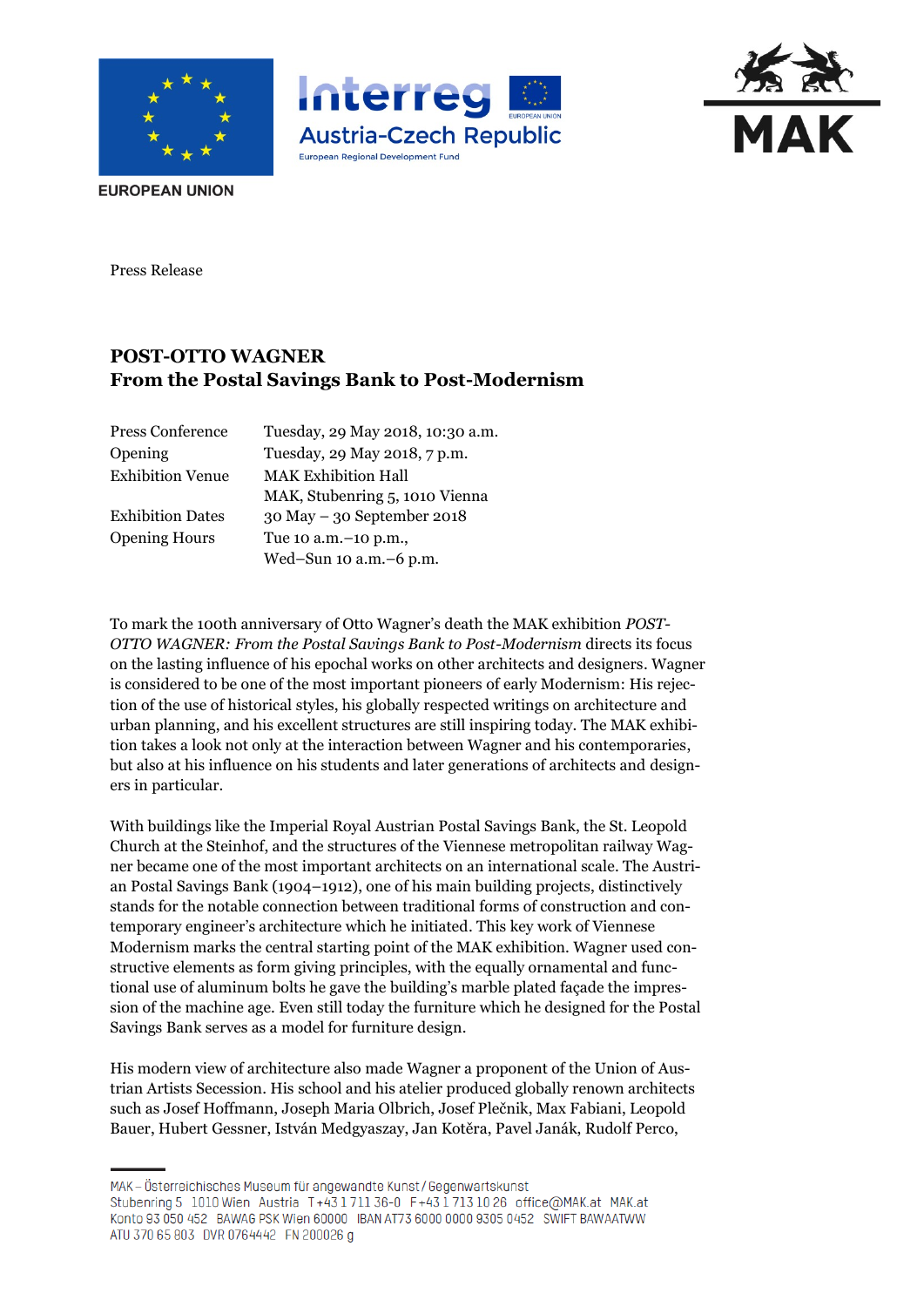





**EUROPEAN UNION** 

Press Release

# **POST-OTTO WAGNER From the Postal Savings Bank to Post-Modernism**

| Press Conference        | Tuesday, 29 May 2018, 10:30 a.m. |
|-------------------------|----------------------------------|
| Opening                 | Tuesday, 29 May 2018, 7 p.m.     |
| <b>Exhibition Venue</b> | <b>MAK Exhibition Hall</b>       |
|                         | MAK, Stubenring 5, 1010 Vienna   |
| <b>Exhibition Dates</b> | $30$ May $-30$ September 2018    |
| <b>Opening Hours</b>    | Tue 10 a.m. -10 p.m.,            |
|                         | Wed-Sun 10 a.m. - 6 p.m.         |

To mark the 100th anniversary of Otto Wagner's death the MAK exhibition *POST-OTTO WAGNER: From the Postal Savings Bank to Post-Modernism* directs its focus on the lasting influence of his epochal works on other architects and designers. Wagner is considered to be one of the most important pioneers of early Modernism: His rejection of the use of historical styles, his globally respected writings on architecture and urban planning, and his excellent structures are still inspiring today. The MAK exhibition takes a look not only at the interaction between Wagner and his contemporaries, but also at his influence on his students and later generations of architects and designers in particular.

With buildings like the Imperial Royal Austrian Postal Savings Bank, the St. Leopold Church at the Steinhof, and the structures of the Viennese metropolitan railway Wagner became one of the most important architects on an international scale. The Austrian Postal Savings Bank (1904–1912), one of his main building projects, distinctively stands for the notable connection between traditional forms of construction and contemporary engineer's architecture which he initiated. This key work of Viennese Modernism marks the central starting point of the MAK exhibition. Wagner used constructive elements as form giving principles, with the equally ornamental and functional use of aluminum bolts he gave the building's marble plated façade the impression of the machine age. Even still today the furniture which he designed for the Postal Savings Bank serves as a model for furniture design.

His modern view of architecture also made Wagner a proponent of the Union of Austrian Artists Secession. His school and his atelier produced globally renown architects such as Josef Hoffmann, Joseph Maria Olbrich, Josef Plečnik, Max Fabiani, Leopold Bauer, Hubert Gessner, István Medgyaszay, Jan Kotěra, Pavel Janák, Rudolf Perco,

MAK – Österreichisches Museum für angewandte Kunst/Gegenwartskunst Stubenring 5 1010 Wien Austria T+43 1 711 36-0 F+43 1 713 10 26 office@MAK.at MAK.at Konto 93 050 452 BAWAG PSK Wien 60000 IBAN AT73 6000 0000 9305 0452 SWIFT BAWAATWW ATU 370 65 803 DVR 0764442 FN 200026 g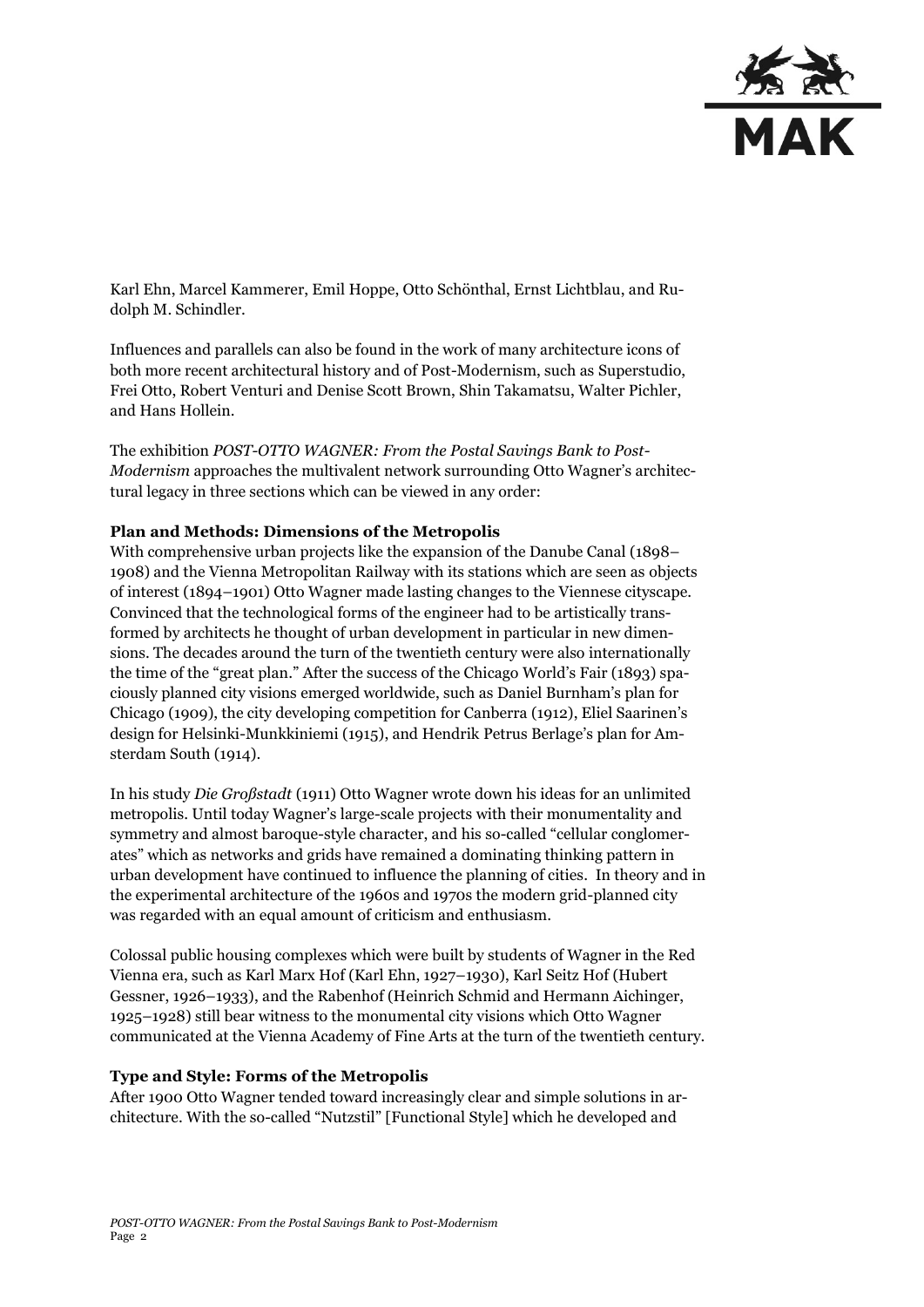

Karl Ehn, Marcel Kammerer, Emil Hoppe, Otto Schönthal, Ernst Lichtblau, and Rudolph M. Schindler.

Influences and parallels can also be found in the work of many architecture icons of both more recent architectural history and of Post-Modernism, such as Superstudio, Frei Otto, Robert Venturi and Denise Scott Brown, Shin Takamatsu, Walter Pichler, and Hans Hollein.

The exhibition *POST-OTTO WAGNER: From the Postal Savings Bank to Post-Modernism* approaches the multivalent network surrounding Otto Wagner's architectural legacy in three sections which can be viewed in any order:

### **Plan and Methods: Dimensions of the Metropolis**

With comprehensive urban projects like the expansion of the Danube Canal (1898– 1908) and the Vienna Metropolitan Railway with its stations which are seen as objects of interest (1894–1901) Otto Wagner made lasting changes to the Viennese cityscape. Convinced that the technological forms of the engineer had to be artistically transformed by architects he thought of urban development in particular in new dimensions. The decades around the turn of the twentieth century were also internationally the time of the "great plan." After the success of the Chicago World's Fair (1893) spaciously planned city visions emerged worldwide, such as Daniel Burnham's plan for Chicago (1909), the city developing competition for Canberra (1912), Eliel Saarinen's design for Helsinki-Munkkiniemi (1915), and Hendrik Petrus Berlage's plan for Amsterdam South (1914).

In his study *Die Großstadt* (1911) Otto Wagner wrote down his ideas for an unlimited metropolis. Until today Wagner's large-scale projects with their monumentality and symmetry and almost baroque-style character, and his so-called "cellular conglomerates" which as networks and grids have remained a dominating thinking pattern in urban development have continued to influence the planning of cities. In theory and in the experimental architecture of the 1960s and 1970s the modern grid-planned city was regarded with an equal amount of criticism and enthusiasm.

Colossal public housing complexes which were built by students of Wagner in the Red Vienna era, such as Karl Marx Hof (Karl Ehn, 1927–1930), Karl Seitz Hof (Hubert Gessner, 1926–1933), and the Rabenhof (Heinrich Schmid and Hermann Aichinger, 1925–1928) still bear witness to the monumental city visions which Otto Wagner communicated at the Vienna Academy of Fine Arts at the turn of the twentieth century.

### **Type and Style: Forms of the Metropolis**

After 1900 Otto Wagner tended toward increasingly clear and simple solutions in architecture. With the so-called "Nutzstil" [Functional Style] which he developed and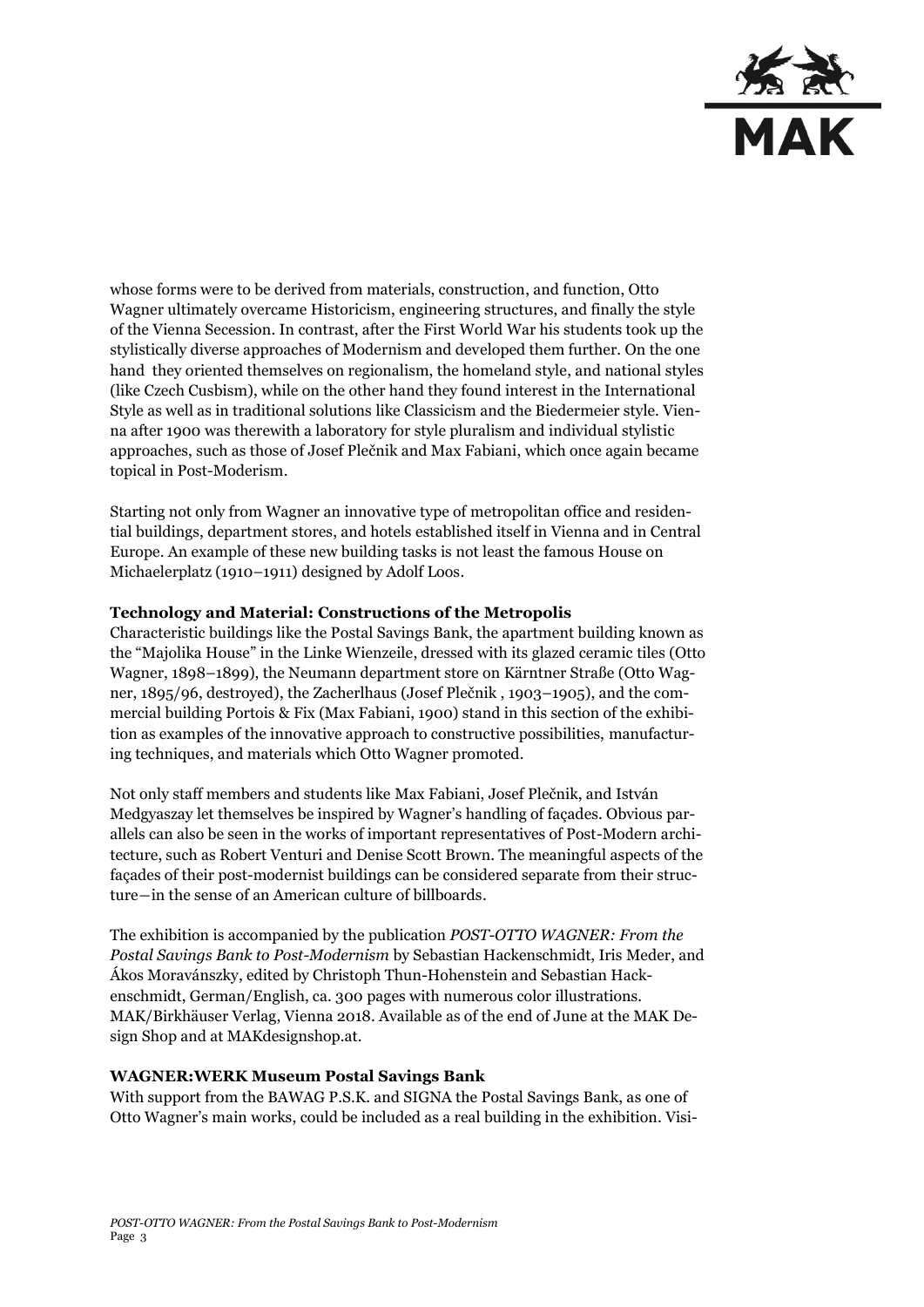

whose forms were to be derived from materials, construction, and function, Otto Wagner ultimately overcame Historicism, engineering structures, and finally the style of the Vienna Secession. In contrast, after the First World War his students took up the stylistically diverse approaches of Modernism and developed them further. On the one hand they oriented themselves on regionalism, the homeland style, and national styles (like Czech Cusbism), while on the other hand they found interest in the International Style as well as in traditional solutions like Classicism and the Biedermeier style. Vienna after 1900 was therewith a laboratory for style pluralism and individual stylistic approaches, such as those of Josef Plečnik and Max Fabiani, which once again became topical in Post-Moderism.

Starting not only from Wagner an innovative type of metropolitan office and residential buildings, department stores, and hotels established itself in Vienna and in Central Europe. An example of these new building tasks is not least the famous House on Michaelerplatz (1910–1911) designed by Adolf Loos.

### **Technology and Material: Constructions of the Metropolis**

Characteristic buildings like the Postal Savings Bank, the apartment building known as the "Majolika House" in the Linke Wienzeile, dressed with its glazed ceramic tiles (Otto Wagner, 1898–1899), the Neumann department store on Kärntner Straße (Otto Wagner, 1895/96, destroyed), the Zacherlhaus (Josef Plečnik , 1903–1905), and the commercial building Portois & Fix (Max Fabiani, 1900) stand in this section of the exhibition as examples of the innovative approach to constructive possibilities, manufacturing techniques, and materials which Otto Wagner promoted.

Not only staff members and students like Max Fabiani, Josef Plečnik, and István Medgyaszay let themselves be inspired by Wagner's handling of façades. Obvious parallels can also be seen in the works of important representatives of Post-Modern architecture, such as Robert Venturi and Denise Scott Brown. The meaningful aspects of the façades of their post-modernist buildings can be considered separate from their structure―in the sense of an American culture of billboards.

The exhibition is accompanied by the publication *POST-OTTO WAGNER: From the Postal Savings Bank to Post-Modernism* by Sebastian Hackenschmidt, Iris Meder, and Ákos Moravánszky, edited by Christoph Thun-Hohenstein and Sebastian Hackenschmidt, German/English, ca. 300 pages with numerous color illustrations. MAK/Birkhäuser Verlag, Vienna 2018. Available as of the end of June at the MAK Design Shop and at MAKdesignshop.at.

### **WAGNER:WERK Museum Postal Savings Bank**

With support from the BAWAG P.S.K. and SIGNA the Postal Savings Bank, as one of Otto Wagner's main works, could be included as a real building in the exhibition. Visi-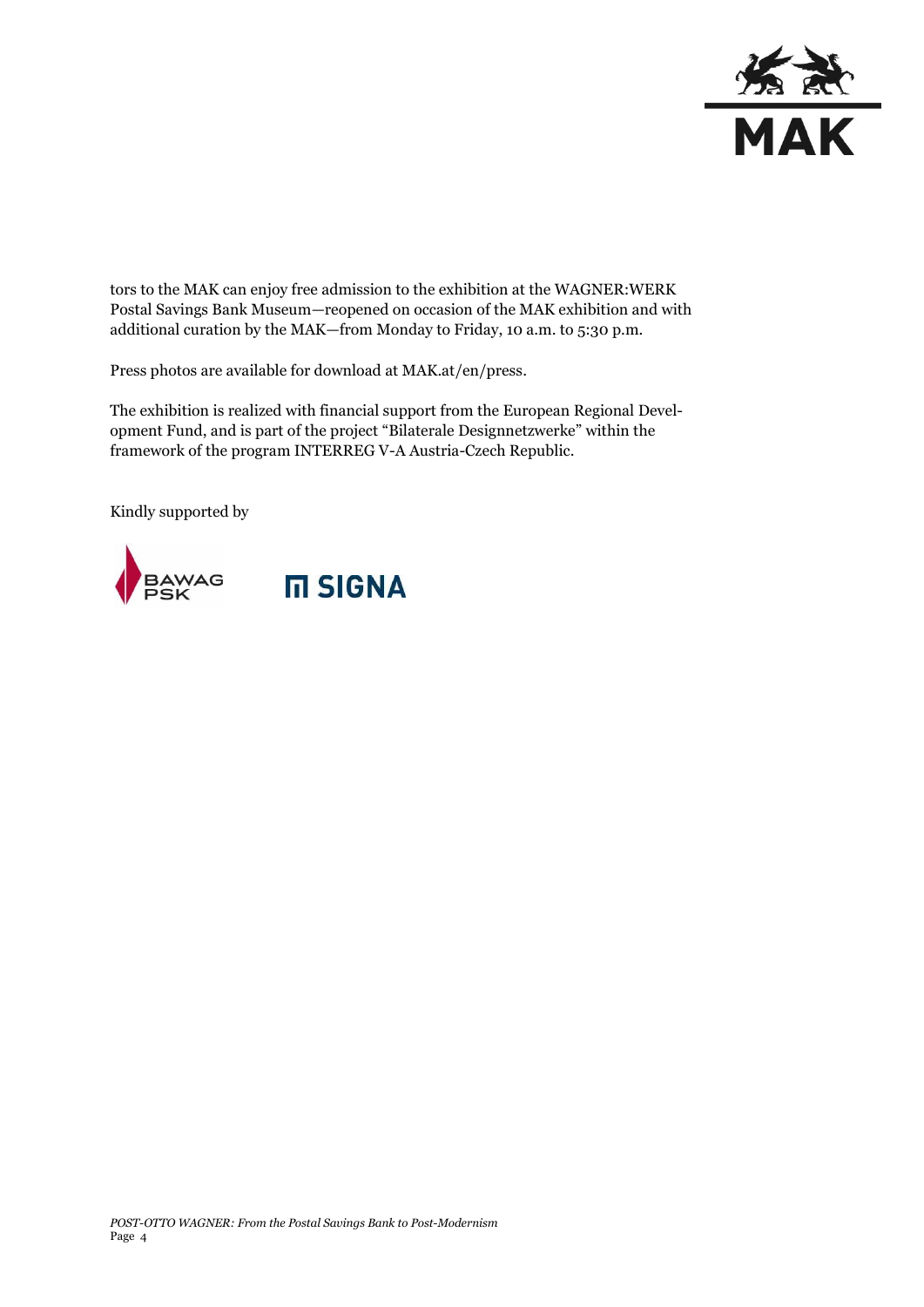

tors to the MAK can enjoy free admission to the exhibition at the WAGNER:WERK Postal Savings Bank Museum—reopened on occasion of the MAK exhibition and with additional curation by the MAK—from Monday to Friday, 10 a.m. to 5:30 p.m.

Press photos are available for download at MAK.at/en/press.

The exhibition is realized with financial support from the European Regional Development Fund, and is part of the project "Bilaterale Designnetzwerke" within the framework of the program INTERREG V-A Austria-Czech Republic.

Kindly supported by

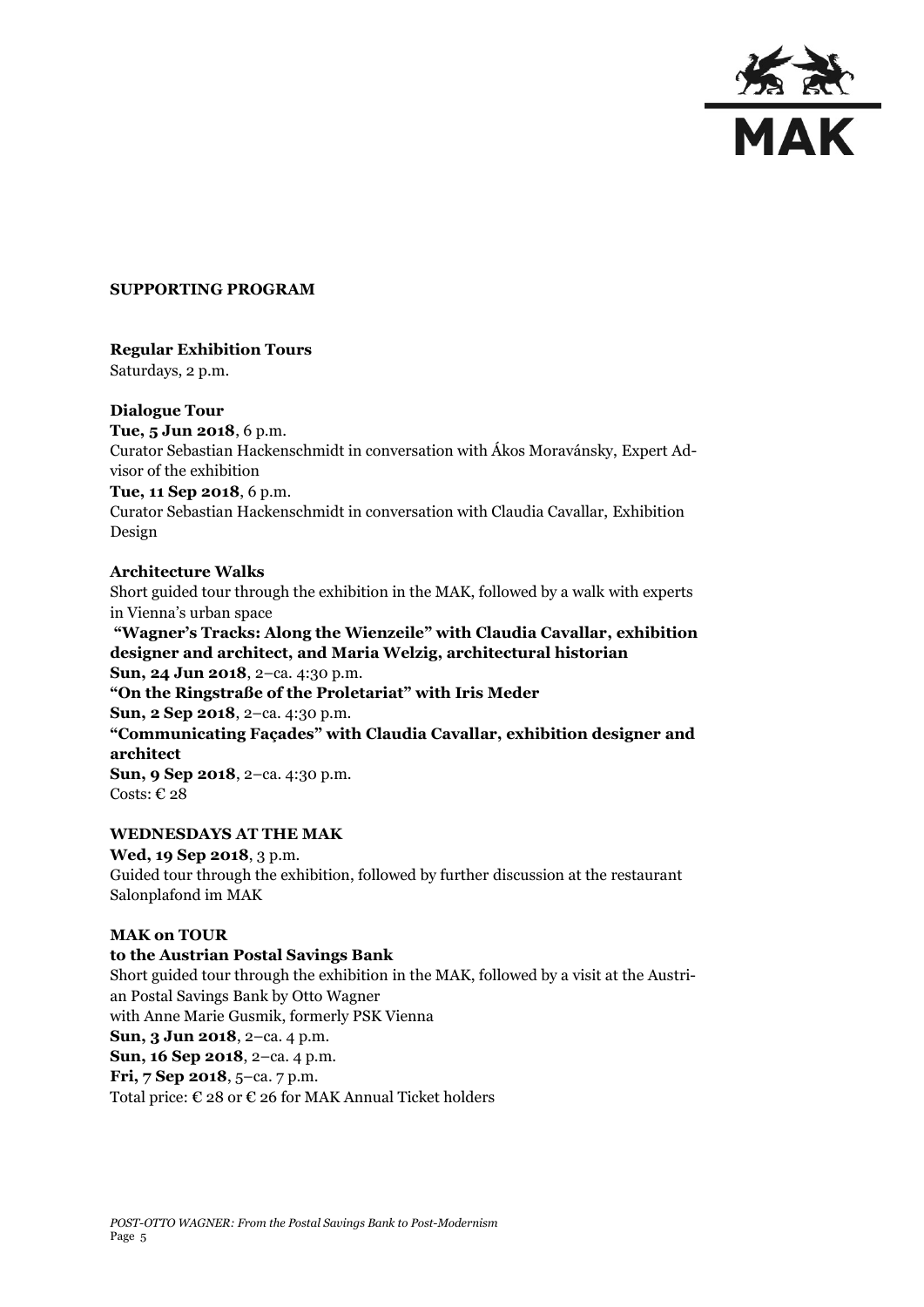

### **SUPPORTING PROGRAM**

### **Regular Exhibition Tours**

Saturdays, 2 p.m.

## **Dialogue Tour**

**Tue, 5 Jun 2018**, 6 p.m. Curator Sebastian Hackenschmidt in conversation with Ákos Moravánsky, Expert Advisor of the exhibition **Tue, 11 Sep 2018**, 6 p.m. Curator Sebastian Hackenschmidt in conversation with Claudia Cavallar, Exhibition Design

## **Architecture Walks**

Short guided tour through the exhibition in the MAK, followed by a walk with experts in Vienna's urban space

**"Wagner's Tracks: Along the Wienzeile" with Claudia Cavallar, exhibition designer and architect, and Maria Welzig, architectural historian Sun, 24 Jun 2018**, 2–ca. 4:30 p.m. **"On the Ringstraße of the Proletariat" with Iris Meder Sun, 2 Sep 2018**, 2–ca. 4:30 p.m. **"Communicating Façades" with Claudia Cavallar, exhibition designer and architect Sun, 9 Sep 2018**, 2–ca. 4:30 p.m. Costs:  $€ 28$ 

# **WEDNESDAYS AT THE MAK**

**Wed, 19 Sep 2018**, 3 p.m. Guided tour through the exhibition, followed by further discussion at the restaurant Salonplafond im MAK

### **MAK on TOUR**

### **to the Austrian Postal Savings Bank**

Short guided tour through the exhibition in the MAK, followed by a visit at the Austrian Postal Savings Bank by Otto Wagner with Anne Marie Gusmik, formerly PSK Vienna **Sun, 3 Jun 2018**, 2–ca. 4 p.m. **Sun, 16 Sep 2018**, 2–ca. 4 p.m. **Fri, 7 Sep 2018**, 5–ca. 7 p.m. Total price:  $\epsilon$  28 or  $\epsilon$  26 for MAK Annual Ticket holders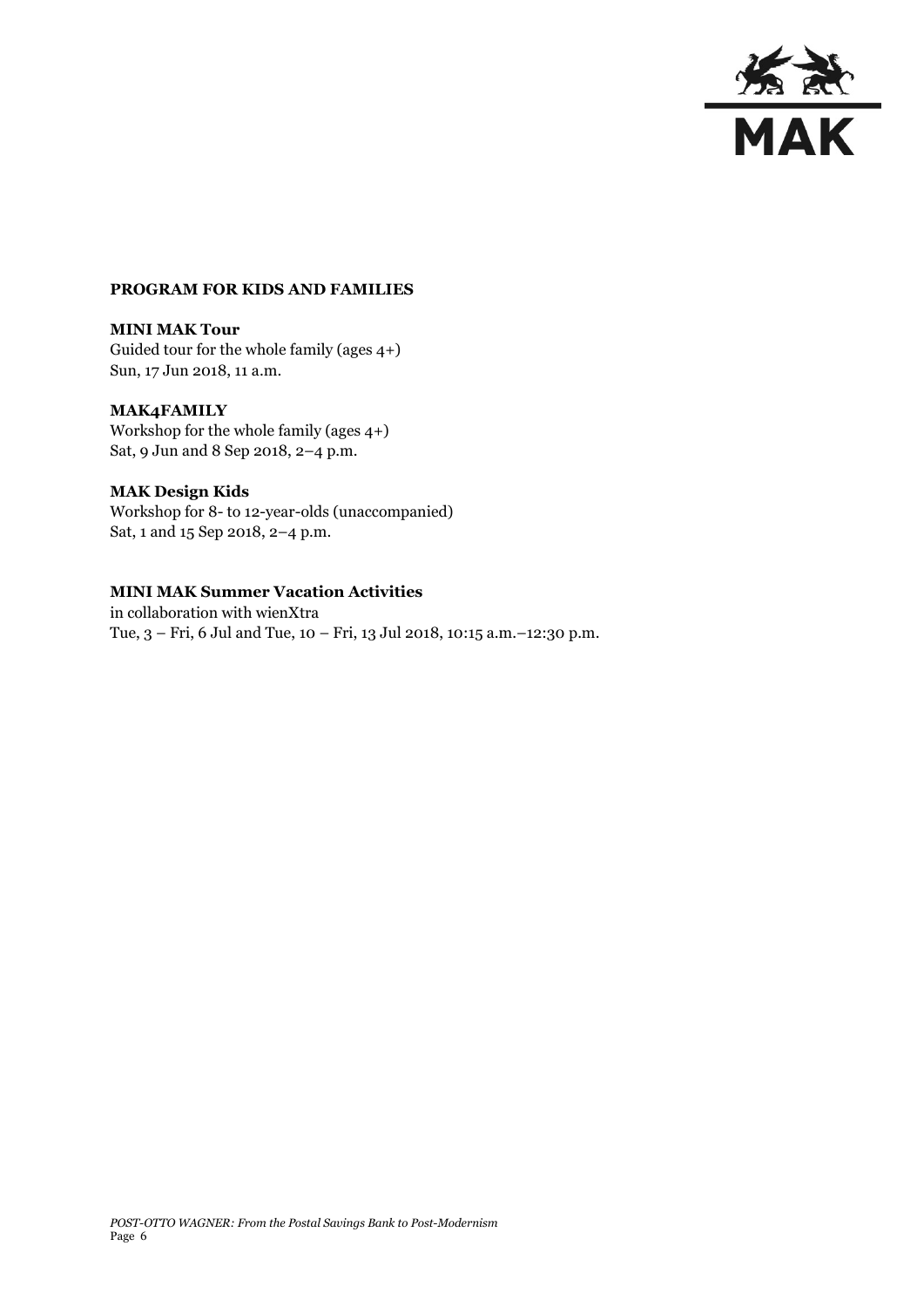

### **PROGRAM FOR KIDS AND FAMILIES**

**MINI MAK Tour** Guided tour for the whole family (ages 4+) Sun, 17 Jun 2018, 11 a.m.

### **MAK4FAMILY**

Workshop for the whole family (ages 4+) Sat, 9 Jun and 8 Sep 2018, 2–4 p.m.

### **MAK Design Kids**

Workshop for 8- to 12-year-olds (unaccompanied) Sat, 1 and 15 Sep 2018, 2–4 p.m.

## **MINI MAK Summer Vacation Activities**

in collaboration with wienXtra Tue, 3 – Fri, 6 Jul and Tue, 10 – Fri, 13 Jul 2018, 10:15 a.m.–12:30 p.m.